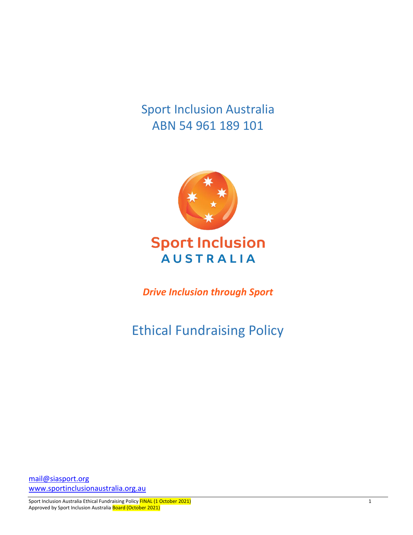Sport Inclusion Australia ABN 54 961 189 101



## **Sport Inclusion AUSTRALIA**

*Drive Inclusion through Sport*

# Ethical Fundraising Policy

[mail@siasport.org](mailto:mail@siasport.org) [www.sportinclusionaustralia.org.au](http://www.sportinclusionaustralia.org.au/)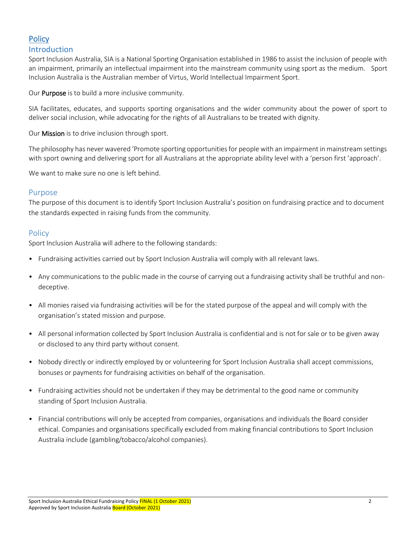### **Policy** Introduction

Sport Inclusion Australia, SIA is a National Sporting Organisation established in 1986 to assist the inclusion of people with an impairment, primarily an intellectual impairment into the mainstream community using sport as the medium. Sport Inclusion Australia is the Australian member of Virtus, World Intellectual Impairment Sport.

Our **Purpose** is to build a more inclusive community.

SIA facilitates, educates, and supports sporting organisations and the wider community about the power of sport to deliver social inclusion, while advocating for the rights of all Australians to be treated with dignity.

Our Mission is to drive inclusion through sport.

The philosophy has never wavered 'Promote sporting opportunities for people with an impairment in mainstream settings with sport owning and delivering sport for all Australians at the appropriate ability level with a 'person first 'approach'.

We want to make sure no one is left behind.

#### Purpose

The purpose of this document is to identify Sport Inclusion Australia's position on fundraising practice and to document the standards expected in raising funds from the community.

#### **Policy**

Sport Inclusion Australia will adhere to the following standards:

- Fundraising activities carried out by Sport Inclusion Australia will comply with all relevant laws.
- Any communications to the public made in the course of carrying out a fundraising activity shall be truthful and nondeceptive.
- All monies raised via fundraising activities will be for the stated purpose of the appeal and will comply with the organisation's stated mission and purpose.
- All personal information collected by Sport Inclusion Australia is confidential and is not for sale or to be given away or disclosed to any third party without consent.
- Nobody directly or indirectly employed by or volunteering for Sport Inclusion Australia shall accept commissions, bonuses or payments for fundraising activities on behalf of the organisation.
- Fundraising activities should not be undertaken if they may be detrimental to the good name or community standing of Sport Inclusion Australia.
- Financial contributions will only be accepted from companies, organisations and individuals the Board consider ethical. Companies and organisations specifically excluded from making financial contributions to Sport Inclusion Australia include (gambling/tobacco/alcohol companies).